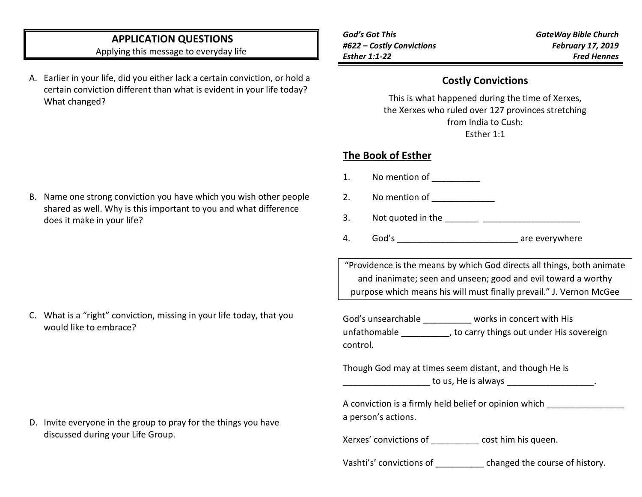# **APPLICATION QUESTIONS**

Applying this message to everyday life

A. Earlier in your life, did you either lack a certain conviction, or hold a certain conviction different than what is evident in your life today? What changed?

| God's Got This            |  |
|---------------------------|--|
| #622 – Costly Convictions |  |
| Esther 1:1-22             |  |

#### **Costly Convictions**

This is what happened during the time of Xerxes, the Xerxes who ruled over 127 provinces stretching from India to Cush: Esther 1:1

## **The Book of Esther**

- 1. No mention of \_\_\_\_\_\_\_\_\_\_
- 2. No mention of

3. Not quoted in the

4. God's are everywhere

"Providence is the means by which God directs all things, both animate and inanimate; seen and unseen; good and evil toward a worthy purpose which means his will must finally prevail." J. Vernon McGee

God's unsearchable \_\_\_\_\_\_\_\_\_\_ works in concert with His unfathomable \_\_\_\_\_\_\_\_\_\_, to carry things out under His sovereign control.

Though God may at times seem distant, and though He is to us, He is always to us,  $\frac{1}{2}$  and  $\frac{1}{2}$  and  $\frac{1}{2}$  and  $\frac{1}{2}$  and  $\frac{1}{2}$  and  $\frac{1}{2}$  and  $\frac{1}{2}$  and  $\frac{1}{2}$  and  $\frac{1}{2}$  and  $\frac{1}{2}$  and  $\frac{1}{2}$  and  $\frac{1}{2}$  and  $\frac{1}{2}$  and  $\frac{1}{2}$  and

| A conviction is a firmly held belief or opinion which |  |
|-------------------------------------------------------|--|
| a person's actions.                                   |  |

Xerxes' convictions of  $\qquad \qquad \text{cost him his queen.}$ 

Vashti's' convictions of \_\_\_\_\_\_\_\_\_\_ changed the course of history.

B. Name one strong conviction you have which you wish other people shared as well. Why is this important to you and what difference does it make in your life?

C. What is a "right" conviction, missing in your life today, that you would like to embrace?

D. Invite everyone in the group to pray for the things you have discussed during your Life Group.